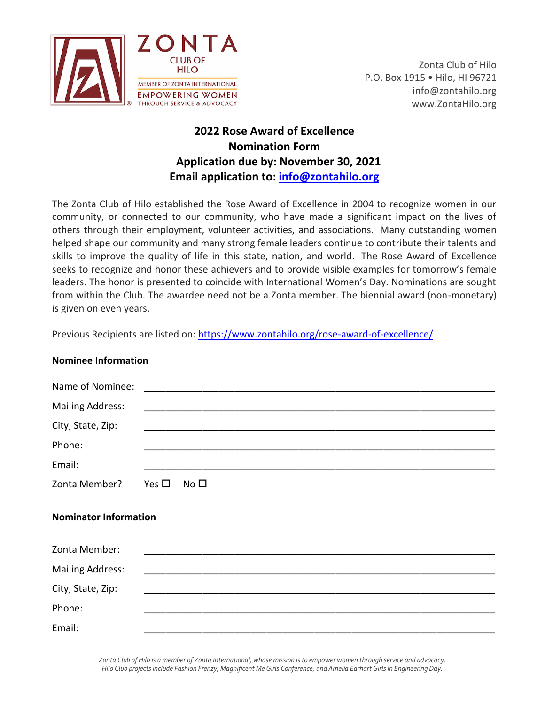

Zonta Club of Hilo P.O. Box 1915 • Hilo, HI 96721 info@zontahilo.org www.ZontaHilo.org

## **2022 Rose Award of Excellence Nomination Form Application due by: November 30, 2021 Email application to: [info@zontahilo.org](mailto:info@zontahilo.org)**

The Zonta Club of Hilo established the Rose Award of Excellence in 2004 to recognize women in our community, or connected to our community, who have made a significant impact on the lives of others through their employment, volunteer activities, and associations. Many outstanding women helped shape our community and many strong female leaders continue to contribute their talents and skills to improve the quality of life in this state, nation, and world. The Rose Award of Excellence seeks to recognize and honor these achievers and to provide visible examples for tomorrow's female leaders. The honor is presented to coincide with International Women's Day. Nominations are sought from within the Club. The awardee need not be a Zonta member. The biennial award (non-monetary) is given on even years.

Previous Recipients are listed on:<https://www.zontahilo.org/rose-award-of-excellence/>

## **Nominee Information**

| Name of Nominee:             |                                  |
|------------------------------|----------------------------------|
| <b>Mailing Address:</b>      |                                  |
| City, State, Zip:            |                                  |
| Phone:                       |                                  |
| Email:                       |                                  |
| Zonta Member?                | Yes $\square$<br>No <sub>1</sub> |
| <b>Nominator Information</b> |                                  |
|                              |                                  |
| Zonta Member:                |                                  |
| <b>Mailing Address:</b>      |                                  |
| City, State, Zip:            |                                  |
| Phone:                       |                                  |

*Zonta Club of Hilo is a member of Zonta International, whose mission is to empower women through service and advocacy. Hilo Club projects include Fashion Frenzy, Magnificent Me Girls Conference, and Amelia Earhart Girls in Engineering Day.*